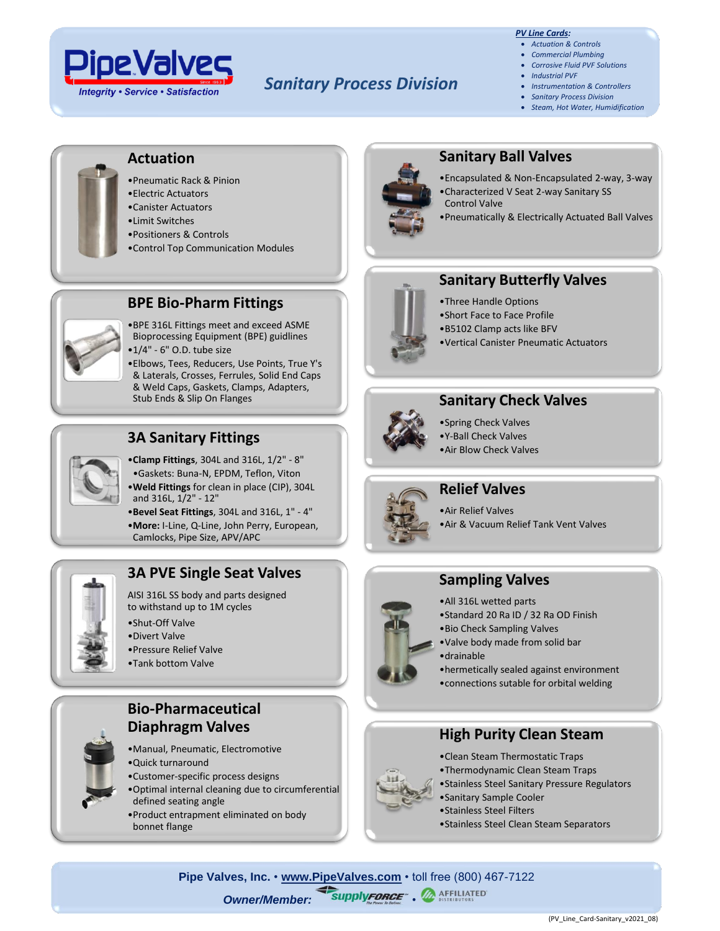

# *Sanitary Process Division*

#### *PV Line Cards:*

- *Actuation & Controls*
- *Commercial Plumbing* • *Corrosive Fluid PVF Solutions*
- *Industrial PVF*
- *Instrumentation & Controllers*
- *Sanitary Process Division*
- *Steam, Hot Water, Humidification*



## **Actuation**

- •Pneumatic Rack & Pinion
- •Electric Actuators
- •Canister Actuators
- •Limit Switches
- •Positioners & Controls

•1/4" - 6" O.D. tube size

•Control Top Communication Modules



### **Sanitary Ball Valves**

- •Encapsulated & Non-Encapsulated 2-way, 3-way •Characterized V Seat 2-way Sanitary SS Control Valve
- •Pneumatically & Electrically Actuated Ball Valves



# **Sanitary Butterfly Valves**

- •Three Handle Options
- •Short Face to Face Profile
- •B5102 Clamp acts like BFV
- •Vertical Canister Pneumatic Actuators



### **Sanitary Check Valves**

•Spring Check Valves •Y-Ball Check Valves •Air Blow Check Valves



### **Relief Valves**

•Air Relief Valves •Air & Vacuum Relief Tank Vent Valves

# **Sampling Valves**

- •All 316L wetted parts
- •Standard 20 Ra ID / 32 Ra OD Finish
- •Bio Check Sampling Valves
- •Valve body made from solid bar •drainable
- •hermetically sealed against environment •connections sutable for orbital welding

## **High Purity Clean Steam**

- •Clean Steam Thermostatic Traps
- •Thermodynamic Clean Steam Traps
- •Stainless Steel Sanitary Pressure Regulators
- •Sanitary Sample Cooler
- •Stainless Steel Filters
- •Stainless Steel Clean Steam Separators





## **3A Sanitary Fittings**

Stub Ends & Slip On Flanges

•**Clamp Fittings**, 304L and 316L, 1/2" - 8" •Gaskets: Buna-N, EPDM, Teflon, Viton •**Weld Fittings** for clean in place (CIP), 304L and 316L, 1/2" - 12"

Bioprocessing Equipment (BPE) guidlines

& Laterals, Crosses, Ferrules, Solid End Caps & Weld Caps, Gaskets, Clamps, Adapters,

- •**Bevel Seat Fittings**, 304L and 316L, 1" 4"
- •**More:** I-Line, Q-Line, John Perry, European,
- Camlocks, Pipe Size, APV/APC



## **3A PVE Single Seat Valves**

AISI 316L SS body and parts designed to withstand up to 1M cycles

- •Divert Valve
- •Pressure Relief Valve
- •Tank bottom Valve

### **Bio-Pharmaceutical Diaphragm Valves**

- •Manual, Pneumatic, Electromotive
- •Quick turnaround
- •Customer-specific process designs
- •Optimal internal cleaning due to circumferential defined seating angle
- •Product entrapment eliminated on body bonnet flange

•Shut-Off Valve

- 
- 
-